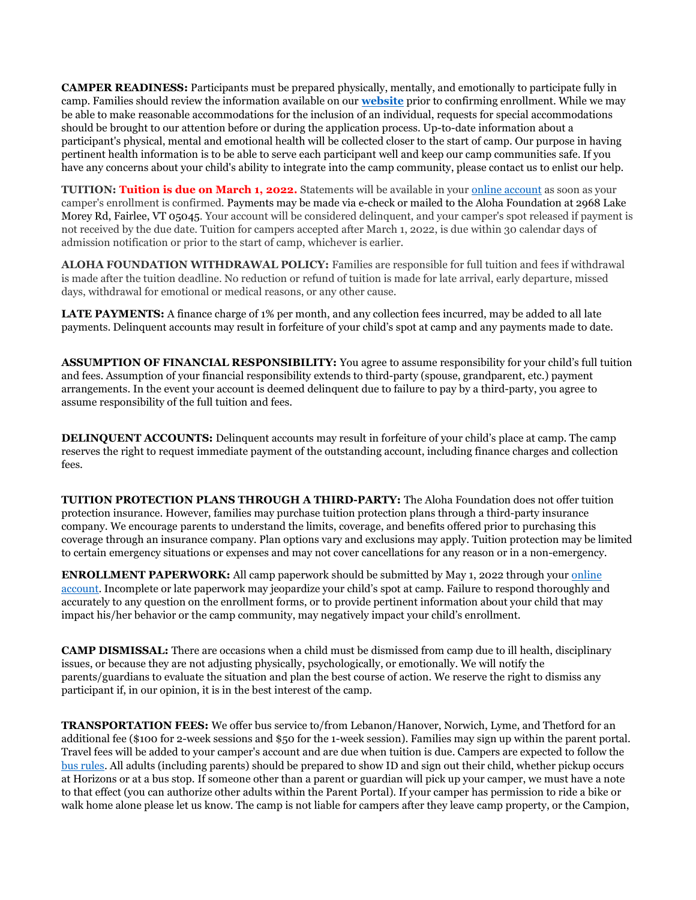CAMPER READINESS: Participants must be prepared physically, mentally, and emotionally to participate fully in camp. Families should review the information available on our **website** prior to confirming enrollment. While we may be able to make reasonable accommodations for the inclusion of an individual, requests for special accommodations should be brought to our attention before or during the application process. Up-to-date information about a participant's physical, mental and emotional health will be collected closer to the start of camp. Our purpose in having pertinent health information is to be able to serve each participant well and keep our camp communities safe. If you have any concerns about your child's ability to integrate into the camp community, please contact us to enlist our help.

TUITION: Tuition is due on March 1, 2022. Statements will be available in your online account as soon as your camper's enrollment is confirmed. Payments may be made via e-check or mailed to the Aloha Foundation at 2968 Lake Morey Rd, Fairlee, VT 05045. Your account will be considered delinquent, and your camper's spot released if payment is not received by the due date. Tuition for campers accepted after March 1, 2022, is due within 30 calendar days of admission notification or prior to the start of camp, whichever is earlier.

ALOHA FOUNDATION WITHDRAWAL POLICY: Families are responsible for full tuition and fees if withdrawal is made after the tuition deadline. No reduction or refund of tuition is made for late arrival, early departure, missed days, withdrawal for emotional or medical reasons, or any other cause.

LATE PAYMENTS: A finance charge of 1% per month, and any collection fees incurred, may be added to all late payments. Delinquent accounts may result in forfeiture of your child's spot at camp and any payments made to date.

ASSUMPTION OF FINANCIAL RESPONSIBILITY: You agree to assume responsibility for your child's full tuition and fees. Assumption of your financial responsibility extends to third-party (spouse, grandparent, etc.) payment arrangements. In the event your account is deemed delinquent due to failure to pay by a third-party, you agree to assume responsibility of the full tuition and fees.

DELINQUENT ACCOUNTS: Delinquent accounts may result in forfeiture of your child's place at camp. The camp reserves the right to request immediate payment of the outstanding account, including finance charges and collection fees.

TUITION PROTECTION PLANS THROUGH A THIRD-PARTY: The Aloha Foundation does not offer tuition protection insurance. However, families may purchase tuition protection plans through a third-party insurance company. We encourage parents to understand the limits, coverage, and benefits offered prior to purchasing this coverage through an insurance company. Plan options vary and exclusions may apply. Tuition protection may be limited to certain emergency situations or expenses and may not cover cancellations for any reason or in a non-emergency.

ENROLLMENT PAPERWORK: All camp paperwork should be submitted by May 1, 2022 through your online account. Incomplete or late paperwork may jeopardize your child's spot at camp. Failure to respond thoroughly and accurately to any question on the enrollment forms, or to provide pertinent information about your child that may impact his/her behavior or the camp community, may negatively impact your child's enrollment.

CAMP DISMISSAL: There are occasions when a child must be dismissed from camp due to ill health, disciplinary issues, or because they are not adjusting physically, psychologically, or emotionally. We will notify the parents/guardians to evaluate the situation and plan the best course of action. We reserve the right to dismiss any participant if, in our opinion, it is in the best interest of the camp.

TRANSPORTATION FEES: We offer bus service to/from Lebanon/Hanover, Norwich, Lyme, and Thetford for an additional fee (\$100 for 2-week sessions and \$50 for the 1-week session). Families may sign up within the parent portal. Travel fees will be added to your camper's account and are due when tuition is due. Campers are expected to follow the bus rules. All adults (including parents) should be prepared to show ID and sign out their child, whether pickup occurs at Horizons or at a bus stop. If someone other than a parent or guardian will pick up your camper, we must have a note to that effect (you can authorize other adults within the Parent Portal). If your camper has permission to ride a bike or walk home alone please let us know. The camp is not liable for campers after they leave camp property, or the Campion,